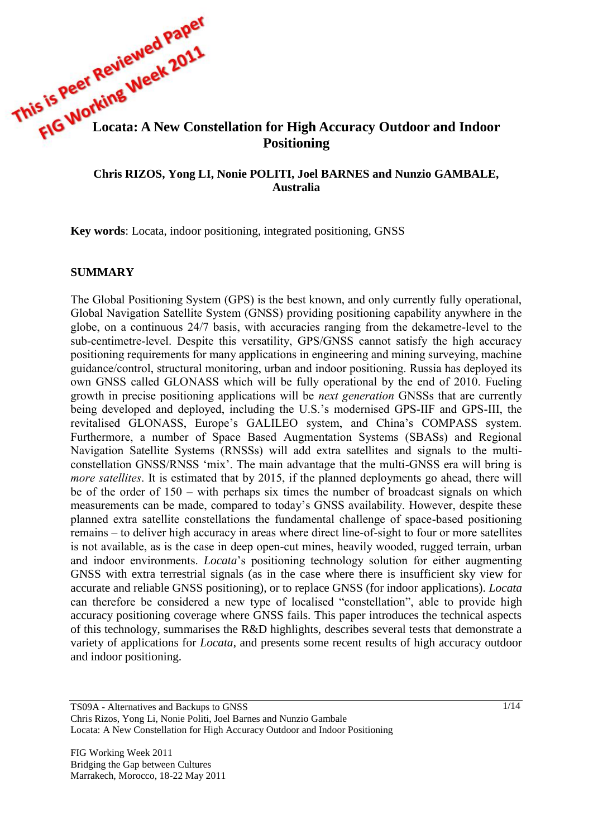

### **Chris RIZOS, Yong LI, Nonie POLITI, Joel BARNES and Nunzio GAMBALE, Australia**

**Key words**: Locata, indoor positioning, integrated positioning, GNSS

#### **SUMMARY**

The Global Positioning System (GPS) is the best known, and only currently fully operational, Global Navigation Satellite System (GNSS) providing positioning capability anywhere in the globe, on a continuous 24/7 basis, with accuracies ranging from the dekametre-level to the sub-centimetre-level. Despite this versatility, GPS/GNSS cannot satisfy the high accuracy positioning requirements for many applications in engineering and mining surveying, machine guidance/control, structural monitoring, urban and indoor positioning. Russia has deployed its own GNSS called GLONASS which will be fully operational by the end of 2010. Fueling growth in precise positioning applications will be *next generation* GNSSs that are currently being developed and deployed, including the U.S.'s modernised GPS-IIF and GPS-III, the revitalised GLONASS, Europe's GALILEO system, and China's COMPASS system. Furthermore, a number of Space Based Augmentation Systems (SBASs) and Regional Navigation Satellite Systems (RNSSs) will add extra satellites and signals to the multiconstellation GNSS/RNSS 'mix'. The main advantage that the multi-GNSS era will bring is *more satellites*. It is estimated that by 2015, if the planned deployments go ahead, there will be of the order of 150 – with perhaps six times the number of broadcast signals on which measurements can be made, compared to today's GNSS availability. However, despite these planned extra satellite constellations the fundamental challenge of space-based positioning remains – to deliver high accuracy in areas where direct line-of-sight to four or more satellites is not available, as is the case in deep open-cut mines, heavily wooded, rugged terrain, urban and indoor environments. *Locata*'s positioning technology solution for either augmenting GNSS with extra terrestrial signals (as in the case where there is insufficient sky view for accurate and reliable GNSS positioning), or to replace GNSS (for indoor applications). *Locata* can therefore be considered a new type of localised "constellation", able to provide high accuracy positioning coverage where GNSS fails. This paper introduces the technical aspects of this technology, summarises the R&D highlights, describes several tests that demonstrate a variety of applications for *Locata*, and presents some recent results of high accuracy outdoor and indoor positioning.

1/14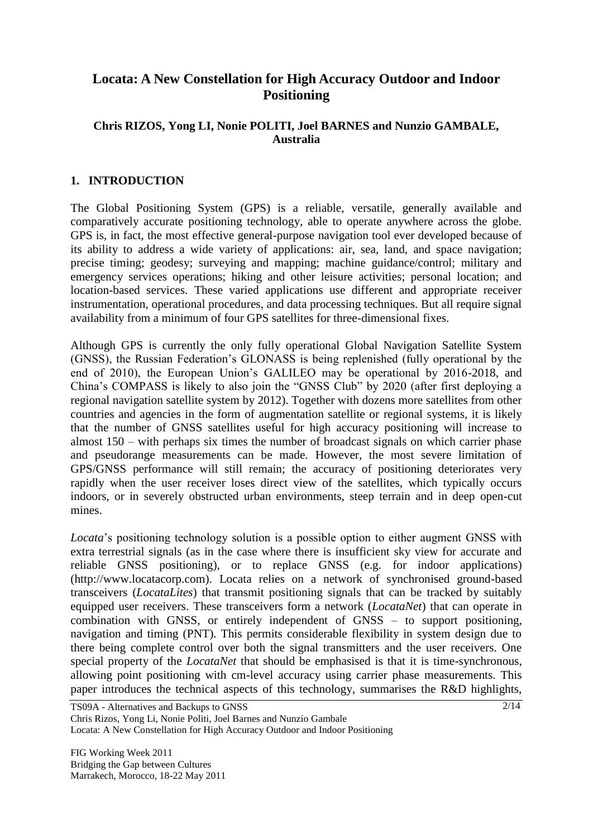# **Locata: A New Constellation for High Accuracy Outdoor and Indoor Positioning**

### **Chris RIZOS, Yong LI, Nonie POLITI, Joel BARNES and Nunzio GAMBALE, Australia**

### **1. INTRODUCTION**

The Global Positioning System (GPS) is a reliable, versatile, generally available and comparatively accurate positioning technology, able to operate anywhere across the globe. GPS is, in fact, the most effective general-purpose navigation tool ever developed because of its ability to address a wide variety of applications: air, sea, land, and space navigation; precise timing; geodesy; surveying and mapping; machine guidance/control; military and emergency services operations; hiking and other leisure activities; personal location; and location-based services. These varied applications use different and appropriate receiver instrumentation, operational procedures, and data processing techniques. But all require signal availability from a minimum of four GPS satellites for three-dimensional fixes.

Although GPS is currently the only fully operational Global Navigation Satellite System (GNSS), the Russian Federation's GLONASS is being replenished (fully operational by the end of 2010), the European Union's GALILEO may be operational by 2016-2018, and China's COMPASS is likely to also join the "GNSS Club" by 2020 (after first deploying a regional navigation satellite system by 2012). Together with dozens more satellites from other countries and agencies in the form of augmentation satellite or regional systems, it is likely that the number of GNSS satellites useful for high accuracy positioning will increase to almost 150 – with perhaps six times the number of broadcast signals on which carrier phase and pseudorange measurements can be made. However, the most severe limitation of GPS/GNSS performance will still remain; the accuracy of positioning deteriorates very rapidly when the user receiver loses direct view of the satellites, which typically occurs indoors, or in severely obstructed urban environments, steep terrain and in deep open-cut mines.

*Locata*'s positioning technology solution is a possible option to either augment GNSS with extra terrestrial signals (as in the case where there is insufficient sky view for accurate and reliable GNSS positioning), or to replace GNSS (e.g. for indoor applications) (http://www.locatacorp.com). Locata relies on a network of synchronised ground-based transceivers (*LocataLites*) that transmit positioning signals that can be tracked by suitably equipped user receivers. These transceivers form a network (*LocataNet*) that can operate in combination with GNSS, or entirely independent of GNSS – to support positioning, navigation and timing (PNT). This permits considerable flexibility in system design due to there being complete control over both the signal transmitters and the user receivers. One special property of the *LocataNet* that should be emphasised is that it is time-synchronous, allowing point positioning with cm-level accuracy using carrier phase measurements. This paper introduces the technical aspects of this technology, summarises the R&D highlights,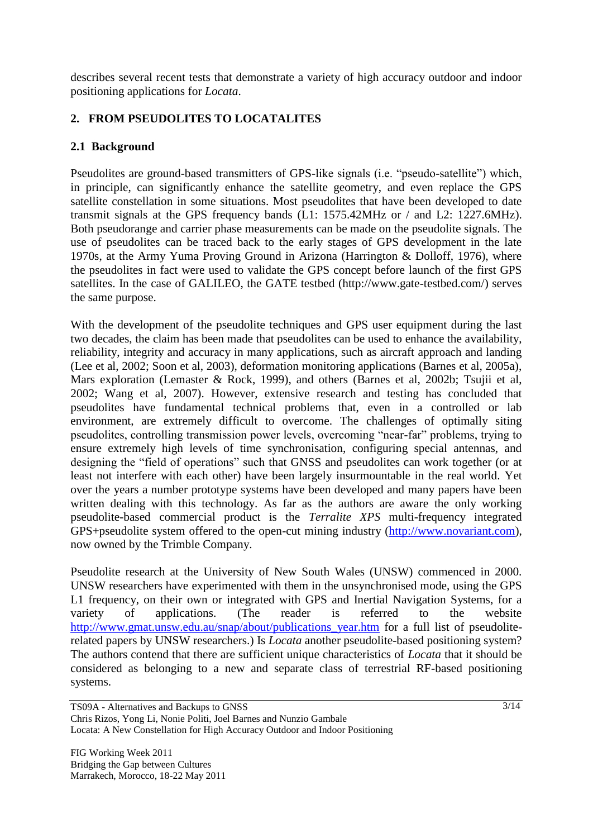describes several recent tests that demonstrate a variety of high accuracy outdoor and indoor positioning applications for *Locata*.

# **2. FROM PSEUDOLITES TO LOCATALITES**

# **2.1 Background**

Pseudolites are ground-based transmitters of GPS-like signals (i.e. "pseudo-satellite") which, in principle, can significantly enhance the satellite geometry, and even replace the GPS satellite constellation in some situations. Most pseudolites that have been developed to date transmit signals at the GPS frequency bands (L1: 1575.42MHz or / and L2: 1227.6MHz). Both pseudorange and carrier phase measurements can be made on the pseudolite signals. The use of pseudolites can be traced back to the early stages of GPS development in the late 1970s, at the Army Yuma Proving Ground in Arizona (Harrington & Dolloff, 1976), where the pseudolites in fact were used to validate the GPS concept before launch of the first GPS satellites. In the case of GALILEO, the GATE testbed (http://www.gate-testbed.com/) serves the same purpose.

With the development of the pseudolite techniques and GPS user equipment during the last two decades, the claim has been made that pseudolites can be used to enhance the availability, reliability, integrity and accuracy in many applications, such as aircraft approach and landing (Lee et al, 2002; Soon et al, 2003), deformation monitoring applications (Barnes et al, 2005a), Mars exploration (Lemaster & Rock, 1999), and others (Barnes et al, 2002b; Tsujii et al, 2002; Wang et al, 2007). However, extensive research and testing has concluded that pseudolites have fundamental technical problems that, even in a controlled or lab environment, are extremely difficult to overcome. The challenges of optimally siting pseudolites, controlling transmission power levels, overcoming "near-far" problems, trying to ensure extremely high levels of time synchronisation, configuring special antennas, and designing the "field of operations" such that GNSS and pseudolites can work together (or at least not interfere with each other) have been largely insurmountable in the real world. Yet over the years a number prototype systems have been developed and many papers have been written dealing with this technology. As far as the authors are aware the only working pseudolite-based commercial product is the *Terralite XPS* multi-frequency integrated GPS+pseudolite system offered to the open-cut mining industry [\(http://www.novariant.com\)](http://www.novariant.com/), now owned by the Trimble Company.

Pseudolite research at the University of New South Wales (UNSW) commenced in 2000. UNSW researchers have experimented with them in the unsynchronised mode, using the GPS L1 frequency, on their own or integrated with GPS and Inertial Navigation Systems, for a variety of applications. (The reader is referred to the website [http://www.gmat.unsw.edu.au/snap/about/publications\\_year.htm](http://www.gmat.unsw.edu.au/snap/about/publications_year.htm) for a full list of pseudoliterelated papers by UNSW researchers.) Is *Locata* another pseudolite-based positioning system? The authors contend that there are sufficient unique characteristics of *Locata* that it should be considered as belonging to a new and separate class of terrestrial RF-based positioning systems.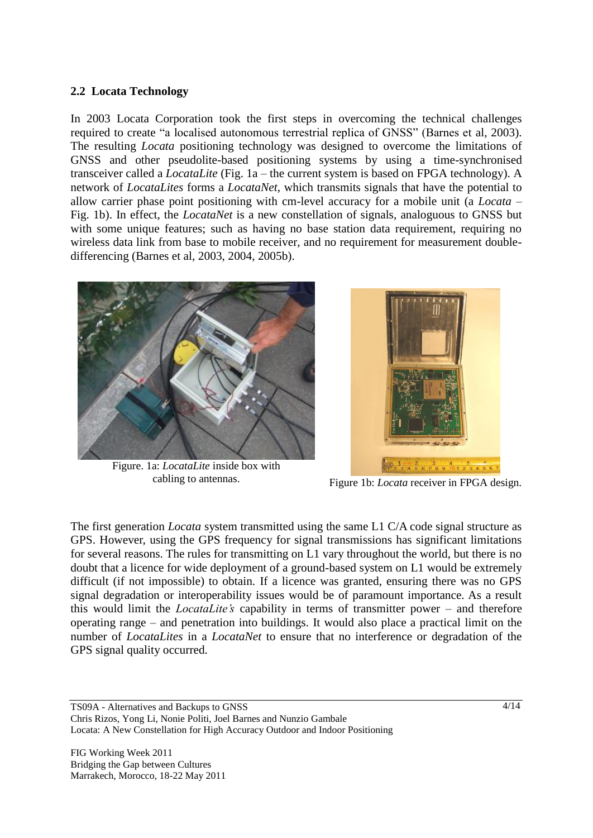### **2.2 Locata Technology**

In 2003 Locata Corporation took the first steps in overcoming the technical challenges required to create "a localised autonomous terrestrial replica of GNSS" (Barnes et al, 2003). The resulting *Locata* positioning technology was designed to overcome the limitations of GNSS and other pseudolite-based positioning systems by using a time-synchronised transceiver called a *LocataLite* (Fig. 1a – the current system is based on FPGA technology). A network of *LocataLites* forms a *LocataNet*, which transmits signals that have the potential to allow carrier phase point positioning with cm-level accuracy for a mobile unit (a *Locata* – Fig. 1b). In effect, the *LocataNet* is a new constellation of signals, analoguous to GNSS but with some unique features; such as having no base station data requirement, requiring no wireless data link from base to mobile receiver, and no requirement for measurement doubledifferencing (Barnes et al, 2003, 2004, 2005b).



Figure. 1a: *LocataLite* inside box with cabling to antennas.



Figure 1b: *Locata* receiver in FPGA design.

The first generation *Locata* system transmitted using the same L1 C/A code signal structure as GPS. However, using the GPS frequency for signal transmissions has significant limitations for several reasons. The rules for transmitting on L1 vary throughout the world, but there is no doubt that a licence for wide deployment of a ground-based system on L1 would be extremely difficult (if not impossible) to obtain. If a licence was granted, ensuring there was no GPS signal degradation or interoperability issues would be of paramount importance. As a result this would limit the *LocataLite's* capability in terms of transmitter power – and therefore operating range – and penetration into buildings. It would also place a practical limit on the number of *LocataLites* in a *LocataNet* to ensure that no interference or degradation of the GPS signal quality occurred.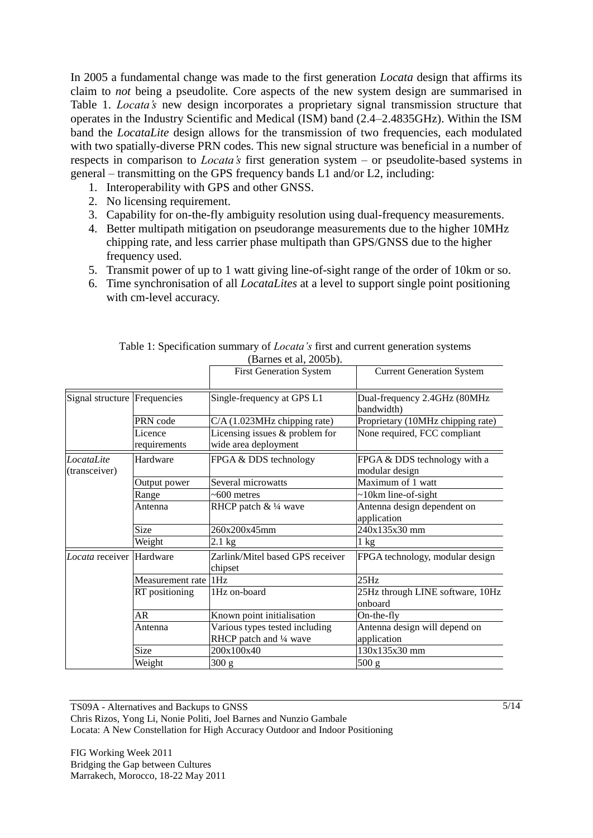In 2005 a fundamental change was made to the first generation *Locata* design that affirms its claim to *not* being a pseudolite*.* Core aspects of the new system design are summarised in Table 1. *Locata's* new design incorporates a proprietary signal transmission structure that operates in the Industry Scientific and Medical (ISM) band (2.4–2.4835GHz). Within the ISM band the *LocataLite* design allows for the transmission of two frequencies, each modulated with two spatially-diverse PRN codes. This new signal structure was beneficial in a number of respects in comparison to *Locata's* first generation system – or pseudolite-based systems in general – transmitting on the GPS frequency bands L1 and/or L2, including:

- 1. Interoperability with GPS and other GNSS.
- 2. No licensing requirement.
- 3. Capability for on-the-fly ambiguity resolution using dual-frequency measurements.
- 4. Better multipath mitigation on pseudorange measurements due to the higher 10MHz chipping rate, and less carrier phase multipath than GPS/GNSS due to the higher frequency used.
- 5. Transmit power of up to 1 watt giving line-of-sight range of the order of 10km or so.
- 6. Time synchronisation of all *LocataLites* at a level to support single point positioning with cm-level accuracy.

|                              |                         | (Barnes et al, 2005b).                                    |                                                |
|------------------------------|-------------------------|-----------------------------------------------------------|------------------------------------------------|
|                              |                         | <b>First Generation System</b>                            | <b>Current Generation System</b>               |
| Signal structure Frequencies |                         | Single-frequency at GPS L1                                | Dual-frequency 2.4GHz (80MHz<br>bandwidth)     |
|                              | PRN code                | $C/A$ (1.023MHz chipping rate)                            | Proprietary (10MHz chipping rate)              |
|                              | Licence<br>requirements | Licensing issues $&$ problem for<br>wide area deployment  | None required, FCC compliant                   |
| LocataLite<br>(transceiver)  | Hardware                | FPGA & DDS technology                                     | FPGA & DDS technology with a<br>modular design |
|                              | Output power            | Several microwatts                                        | Maximum of 1 watt                              |
|                              | Range                   | $~500$ metres                                             | $\sim$ 10km line-of-sight                      |
|                              | Antenna                 | RHCP patch & 1/4 wave                                     | Antenna design dependent on<br>application     |
|                              | Size                    | 260x200x45mm                                              | 240x135x30 mm                                  |
|                              | Weight                  | $2.1 \text{ kg}$                                          | $1 \text{ kg}$                                 |
| Locata receiver              | Hardware                | Zarlink/Mitel based GPS receiver<br>chipset               | FPGA technology, modular design                |
|                              | Measurement rate        | 1Hz                                                       | 25Hz                                           |
|                              | RT positioning          | 1Hz on-board                                              | 25Hz through LINE software, 10Hz<br>onboard    |
|                              | AR                      | Known point initialisation                                | On-the-fly                                     |
|                              | Antenna                 | Various types tested including<br>RHCP patch and 1/4 wave | Antenna design will depend on<br>application   |
|                              | Size                    | 200x100x40                                                | 130x135x30 mm                                  |
|                              | Weight                  | 300 g                                                     | 500 g                                          |

Table 1: Specification summary of *Locata's* first and current generation systems

TS09A - Alternatives and Backups to GNSS Chris Rizos, Yong Li, Nonie Politi, Joel Barnes and Nunzio Gambale Locata: A New Constellation for High Accuracy Outdoor and Indoor Positioning

FIG Working Week 2011 Bridging the Gap between Cultures Marrakech, Morocco, 18-22 May 2011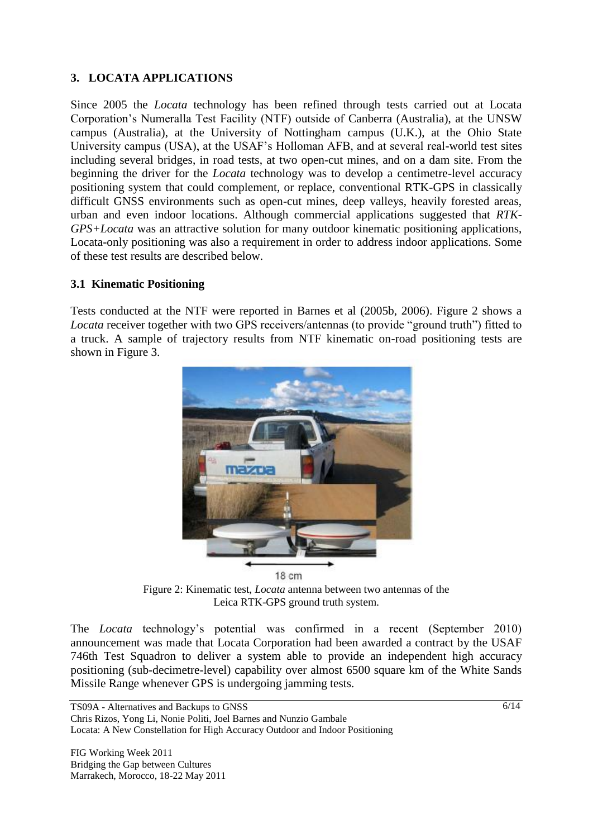# **3. LOCATA APPLICATIONS**

Since 2005 the *Locata* technology has been refined through tests carried out at Locata Corporation's Numeralla Test Facility (NTF) outside of Canberra (Australia), at the UNSW campus (Australia), at the University of Nottingham campus (U.K.), at the Ohio State University campus (USA), at the USAF's Holloman AFB, and at several real-world test sites including several bridges, in road tests, at two open-cut mines, and on a dam site. From the beginning the driver for the *Locata* technology was to develop a centimetre-level accuracy positioning system that could complement, or replace, conventional RTK-GPS in classically difficult GNSS environments such as open-cut mines, deep valleys, heavily forested areas, urban and even indoor locations. Although commercial applications suggested that *RTK-GPS+Locata* was an attractive solution for many outdoor kinematic positioning applications, Locata-only positioning was also a requirement in order to address indoor applications. Some of these test results are described below.

# **3.1 Kinematic Positioning**

Tests conducted at the NTF were reported in Barnes et al (2005b, 2006). Figure 2 shows a *Locata* receiver together with two GPS receivers/antennas (to provide "ground truth") fitted to a truck. A sample of trajectory results from NTF kinematic on-road positioning tests are shown in Figure 3.



Figure 2: Kinematic test, *Locata* antenna between two antennas of the Leica RTK-GPS ground truth system.

The *Locata* technology's potential was confirmed in a recent (September 2010) announcement was made that Locata Corporation had been awarded a contract by the USAF 746th Test Squadron to deliver a system able to provide an independent high accuracy positioning (sub-decimetre-level) capability over almost 6500 square km of the White Sands Missile Range whenever GPS is undergoing jamming tests.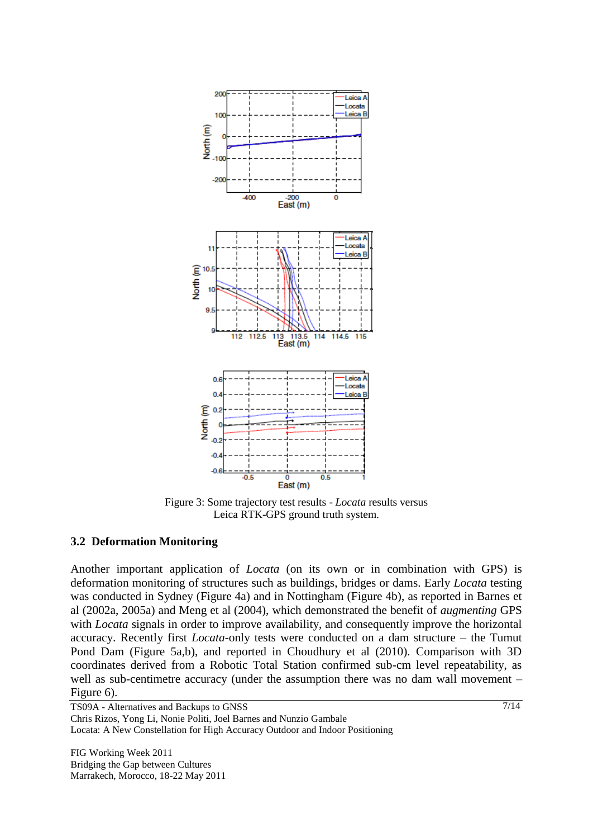

Figure 3: Some trajectory test results - *Locata* results versus Leica RTK-GPS ground truth system.

#### **3.2 Deformation Monitoring**

Another important application of *Locata* (on its own or in combination with GPS) is deformation monitoring of structures such as buildings, bridges or dams. Early *Locata* testing was conducted in Sydney (Figure 4a) and in Nottingham (Figure 4b), as reported in Barnes et al (2002a, 2005a) and Meng et al (2004), which demonstrated the benefit of *augmenting* GPS with *Locata* signals in order to improve availability, and consequently improve the horizontal accuracy. Recently first *Locata*-only tests were conducted on a dam structure – the Tumut Pond Dam (Figure 5a,b), and reported in Choudhury et al (2010). Comparison with 3D coordinates derived from a Robotic Total Station confirmed sub-cm level repeatability, as well as sub-centimetre accuracy (under the assumption there was no dam wall movement – Figure 6).

TS09A - Alternatives and Backups to GNSS Chris Rizos, Yong Li, Nonie Politi, Joel Barnes and Nunzio Gambale Locata: A New Constellation for High Accuracy Outdoor and Indoor Positioning

FIG Working Week 2011 Bridging the Gap between Cultures Marrakech, Morocco, 18-22 May 2011 7/14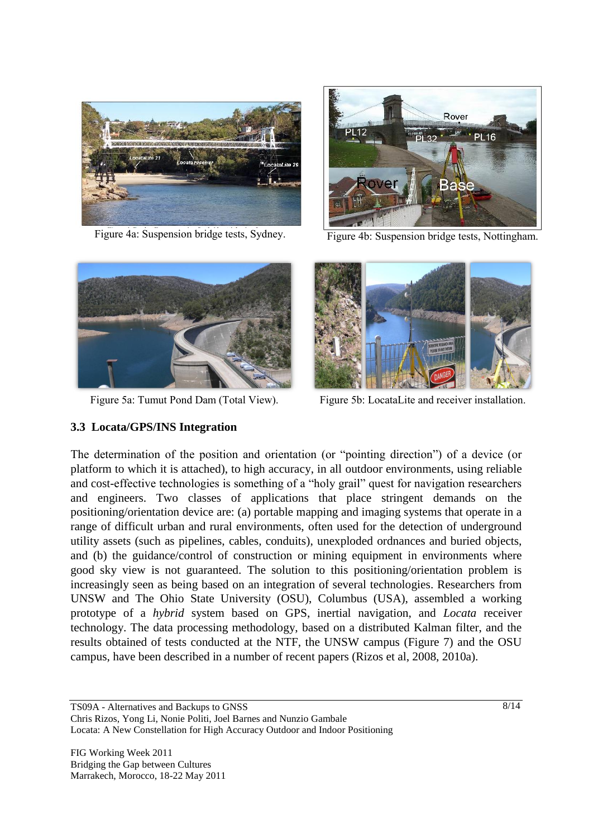

Figure 4a: Suspension bridge tests, Sydney. Figure 4b: Suspension bridge tests, Nottingham.





### **3.3 Locata/GPS/INS Integration**



Figure 5a: Tumut Pond Dam (Total View). Figure 5b: LocataLite and receiver installation.

The determination of the position and orientation (or "pointing direction") of a device (or platform to which it is attached), to high accuracy, in all outdoor environments, using reliable and cost-effective technologies is something of a "holy grail" quest for navigation researchers and engineers. Two classes of applications that place stringent demands on the positioning/orientation device are: (a) portable mapping and imaging systems that operate in a range of difficult urban and rural environments, often used for the detection of underground utility assets (such as pipelines, cables, conduits), unexploded ordnances and buried objects, and (b) the guidance/control of construction or mining equipment in environments where good sky view is not guaranteed. The solution to this positioning/orientation problem is increasingly seen as being based on an integration of several technologies. Researchers from UNSW and The Ohio State University (OSU), Columbus (USA), assembled a working prototype of a *hybrid* system based on GPS, inertial navigation, and *Locata* receiver technology. The data processing methodology, based on a distributed Kalman filter, and the results obtained of tests conducted at the NTF, the UNSW campus (Figure 7) and the OSU campus, have been described in a number of recent papers (Rizos et al, 2008, 2010a).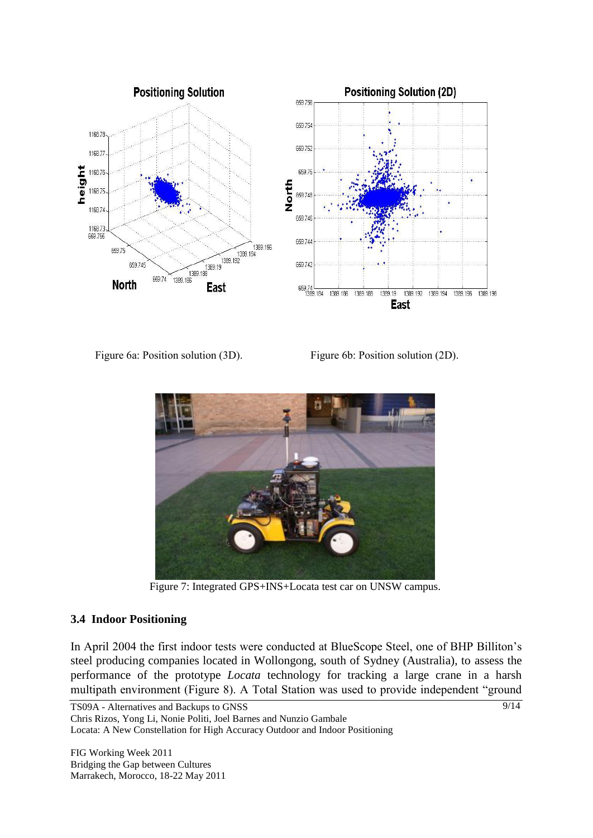

Figure 6a: Position solution (3D). Figure 6b: Position solution (2D).



Figure 7: Integrated GPS+INS+Locata test car on UNSW campus.

### **3.4 Indoor Positioning**

In April 2004 the first indoor tests were conducted at BlueScope Steel, one of BHP Billiton's steel producing companies located in Wollongong, south of Sydney (Australia), to assess the performance of the prototype *Locata* technology for tracking a large crane in a harsh multipath environment (Figure 8). A Total Station was used to provide independent "ground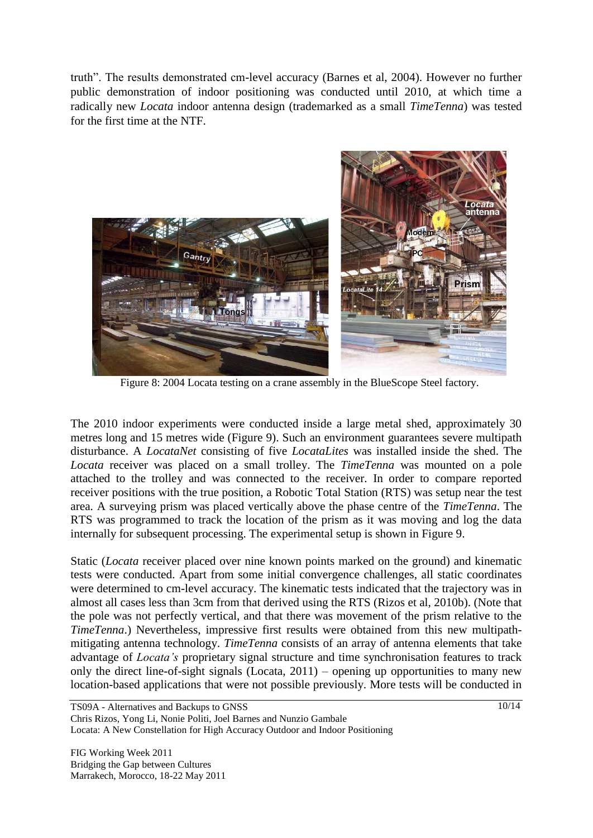truth". The results demonstrated cm-level accuracy (Barnes et al, 2004). However no further public demonstration of indoor positioning was conducted until 2010, at which time a radically new *Locata* indoor antenna design (trademarked as a small *TimeTenna*) was tested for the first time at the NTF.



Figure 8: 2004 Locata testing on a crane assembly in the BlueScope Steel factory.

The 2010 indoor experiments were conducted inside a large metal shed, approximately 30 metres long and 15 metres wide (Figure 9). Such an environment guarantees severe multipath disturbance. A *LocataNet* consisting of five *LocataLites* was installed inside the shed. The *Locata* receiver was placed on a small trolley. The *TimeTenna* was mounted on a pole attached to the trolley and was connected to the receiver. In order to compare reported receiver positions with the true position, a Robotic Total Station (RTS) was setup near the test area. A surveying prism was placed vertically above the phase centre of the *TimeTenna*. The RTS was programmed to track the location of the prism as it was moving and log the data internally for subsequent processing. The experimental setup is shown in Figure 9.

Static (*Locata* receiver placed over nine known points marked on the ground) and kinematic tests were conducted. Apart from some initial convergence challenges, all static coordinates were determined to cm-level accuracy. The kinematic tests indicated that the trajectory was in almost all cases less than 3cm from that derived using the RTS (Rizos et al, 2010b). (Note that the pole was not perfectly vertical, and that there was movement of the prism relative to the *TimeTenna*.) Nevertheless, impressive first results were obtained from this new multipathmitigating antenna technology. *TimeTenna* consists of an array of antenna elements that take advantage of *Locata's* proprietary signal structure and time synchronisation features to track only the direct line-of-sight signals (Locata, 2011) – opening up opportunities to many new location-based applications that were not possible previously. More tests will be conducted in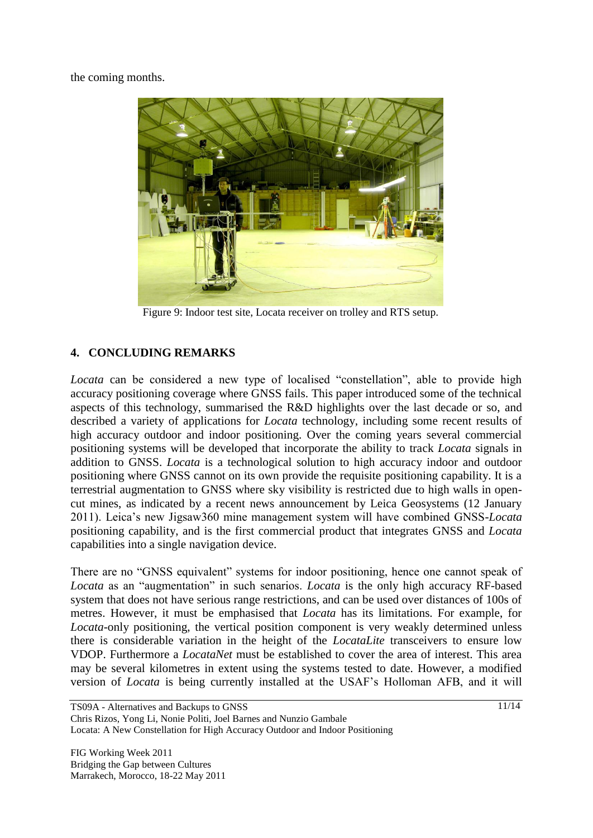the coming months.



Figure 9: Indoor test site, Locata receiver on trolley and RTS setup.

# **4. CONCLUDING REMARKS**

*Locata* can be considered a new type of localised "constellation", able to provide high accuracy positioning coverage where GNSS fails. This paper introduced some of the technical aspects of this technology, summarised the R&D highlights over the last decade or so, and described a variety of applications for *Locata* technology, including some recent results of high accuracy outdoor and indoor positioning. Over the coming years several commercial positioning systems will be developed that incorporate the ability to track *Locata* signals in addition to GNSS. *Locata* is a technological solution to high accuracy indoor and outdoor positioning where GNSS cannot on its own provide the requisite positioning capability. It is a terrestrial augmentation to GNSS where sky visibility is restricted due to high walls in opencut mines, as indicated by a recent news announcement by Leica Geosystems (12 January 2011). Leica's new Jigsaw360 mine management system will have combined GNSS-*Locata* positioning capability, and is the first commercial product that integrates GNSS and *Locata* capabilities into a single navigation device.

There are no "GNSS equivalent" systems for indoor positioning, hence one cannot speak of *Locata* as an "augmentation" in such senarios. *Locata* is the only high accuracy RF-based system that does not have serious range restrictions, and can be used over distances of 100s of metres. However, it must be emphasised that *Locata* has its limitations. For example, for *Locata*-only positioning, the vertical position component is very weakly determined unless there is considerable variation in the height of the *LocataLite* transceivers to ensure low VDOP. Furthermore a *LocataNet* must be established to cover the area of interest. This area may be several kilometres in extent using the systems tested to date. However, a modified version of *Locata* is being currently installed at the USAF's Holloman AFB, and it will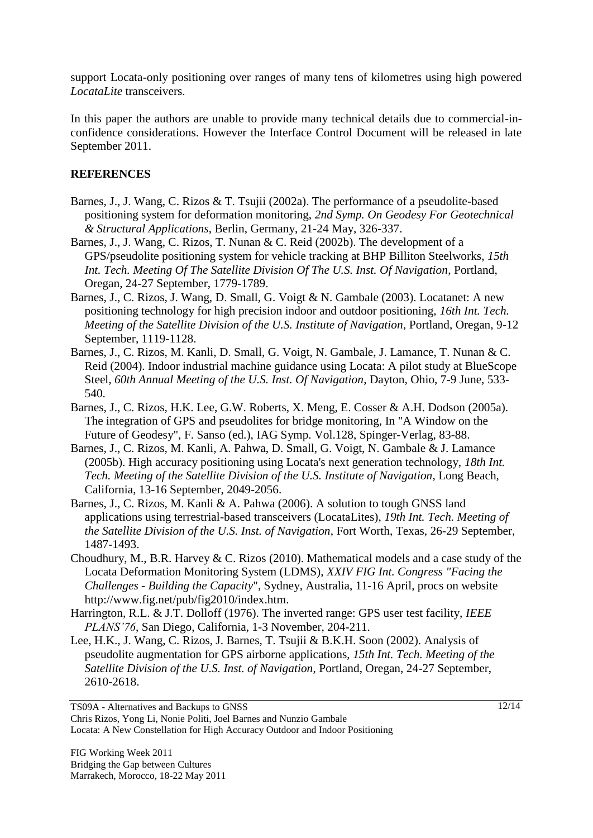support Locata-only positioning over ranges of many tens of kilometres using high powered *LocataLite* transceivers.

In this paper the authors are unable to provide many technical details due to commercial-inconfidence considerations. However the Interface Control Document will be released in late September 2011.

# **REFERENCES**

- Barnes, J., J. Wang, C. Rizos & T. Tsujii (2002a). The performance of a pseudolite-based positioning system for deformation monitoring, *2nd Symp. On Geodesy For Geotechnical & Structural Applications*, Berlin, Germany, 21-24 May, 326-337.
- Barnes, J., J. Wang, C. Rizos, T. Nunan & C. Reid (2002b). The development of a GPS/pseudolite positioning system for vehicle tracking at BHP Billiton Steelworks, *15th Int. Tech. Meeting Of The Satellite Division Of The U.S. Inst. Of Navigation*, Portland, Oregan, 24-27 September, 1779-1789.
- Barnes, J., C. Rizos, J. Wang, D. Small, G. Voigt & N. Gambale (2003). Locatanet: A new positioning technology for high precision indoor and outdoor positioning, *16th Int. Tech. Meeting of the Satellite Division of the U.S. Institute of Navigation*, Portland, Oregan, 9-12 September, 1119-1128.
- Barnes, J., C. Rizos, M. Kanli, D. Small, G. Voigt, N. Gambale, J. Lamance, T. Nunan & C. Reid (2004). Indoor industrial machine guidance using Locata: A pilot study at BlueScope Steel, *60th Annual Meeting of the U.S. Inst. Of Navigation*, Dayton, Ohio, 7-9 June, 533- 540.
- Barnes, J., C. Rizos, H.K. Lee, G.W. Roberts, X. Meng, E. Cosser & A.H. Dodson (2005a). The integration of GPS and pseudolites for bridge monitoring, In "A Window on the Future of Geodesy", F. Sanso (ed.), IAG Symp. Vol.128, Spinger-Verlag, 83-88.
- Barnes, J., C. Rizos, M. Kanli, A. Pahwa, D. Small, G. Voigt, N. Gambale & J. Lamance (2005b). High accuracy positioning using Locata's next generation technology, *18th Int. Tech. Meeting of the Satellite Division of the U.S. Institute of Navigation*, Long Beach, California, 13-16 September, 2049-2056.
- Barnes, J., C. Rizos, M. Kanli & A. Pahwa (2006). A solution to tough GNSS land applications using terrestrial-based transceivers (LocataLites), *19th Int. Tech. Meeting of the Satellite Division of the U.S. Inst. of Navigation*, Fort Worth, Texas, 26-29 September, 1487-1493.
- Choudhury, M., B.R. Harvey & C. Rizos (2010). Mathematical models and a case study of the Locata Deformation Monitoring System (LDMS), *XXIV FIG Int. Congress "Facing the Challenges - Building the Capacity*", Sydney, Australia, 11-16 April, procs on website http://www.fig.net/pub/fig2010/index.htm.
- Harrington, R.L. & J.T. Dolloff (1976). The inverted range: GPS user test facility, *IEEE PLANS'76*, San Diego, California, 1-3 November, 204-211.
- Lee, H.K., J. Wang, C. Rizos, J. Barnes, T. Tsujii & B.K.H. Soon (2002). Analysis of pseudolite augmentation for GPS airborne applications, *15th Int. Tech. Meeting of the Satellite Division of the U.S. Inst. of Navigation*, Portland, Oregan, 24-27 September, 2610-2618.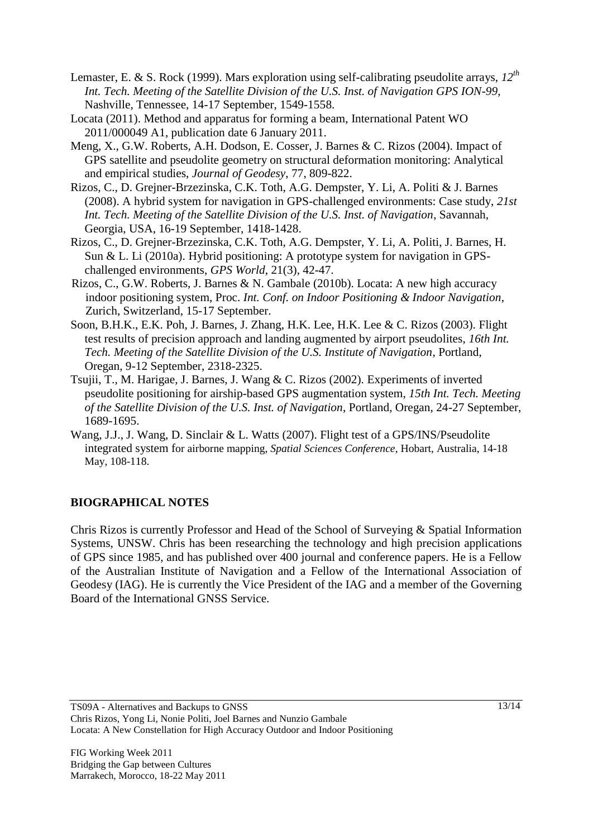- Lemaster, E. & S. Rock (1999). Mars exploration using self-calibrating pseudolite arrays, *12th Int. Tech. Meeting of the Satellite Division of the U.S. Inst. of Navigation GPS ION-99*, Nashville, Tennessee, 14-17 September, 1549-1558.
- Locata (2011). Method and apparatus for forming a beam, International Patent WO 2011/000049 A1, publication date 6 January 2011.
- Meng, X., G.W. Roberts, A.H. Dodson, E. Cosser, J. Barnes & C. Rizos (2004). Impact of GPS satellite and pseudolite geometry on structural deformation monitoring: Analytical and empirical studies, *Journal of Geodesy*, 77, 809-822.
- Rizos, C., D. Grejner-Brzezinska, C.K. Toth, A.G. Dempster, Y. Li, A. Politi & J. Barnes (2008). A hybrid system for navigation in GPS-challenged environments: Case study, *21st Int. Tech. Meeting of the Satellite Division of the U.S. Inst. of Navigation*, Savannah, Georgia, USA, 16-19 September, 1418-1428.
- Rizos, C., D. Grejner-Brzezinska, C.K. Toth, A.G. Dempster, Y. Li, A. Politi, J. Barnes, H. Sun & L. Li (2010a). Hybrid positioning: A prototype system for navigation in GPSchallenged environments, *GPS World*, 21(3), 42-47.
- Rizos, C., G.W. Roberts, J. Barnes & N. Gambale (2010b). Locata: A new high accuracy indoor positioning system, Proc. *Int. Conf. on Indoor Positioning & Indoor Navigation*, Zurich, Switzerland, 15-17 September.
- Soon, B.H.K., E.K. Poh, J. Barnes, J. Zhang, H.K. Lee, H.K. Lee & C. Rizos (2003). Flight test results of precision approach and landing augmented by airport pseudolites, *16th Int. Tech. Meeting of the Satellite Division of the U.S. Institute of Navigation*, Portland, Oregan, 9-12 September, 2318-2325.
- Tsujii, T., M. Harigae, J. Barnes, J. Wang & C. Rizos (2002). Experiments of inverted pseudolite positioning for airship-based GPS augmentation system, *15th Int. Tech. Meeting of the Satellite Division of the U.S. Inst. of Navigation*, Portland, Oregan, 24-27 September, 1689-1695.
- Wang, J.J., J. Wang, D. Sinclair & L. Watts (2007). Flight test of a GPS/INS/Pseudolite integrated system for airborne mapping, *Spatial Sciences Conference*, Hobart, Australia, 14-18 May, 108-118.

### **BIOGRAPHICAL NOTES**

Chris Rizos is currently Professor and Head of the School of Surveying & Spatial Information Systems, UNSW. Chris has been researching the technology and high precision applications of GPS since 1985, and has published over 400 journal and conference papers. He is a Fellow of the Australian Institute of Navigation and a Fellow of the International Association of Geodesy (IAG). He is currently the Vice President of the IAG and a member of the Governing Board of the International GNSS Service.